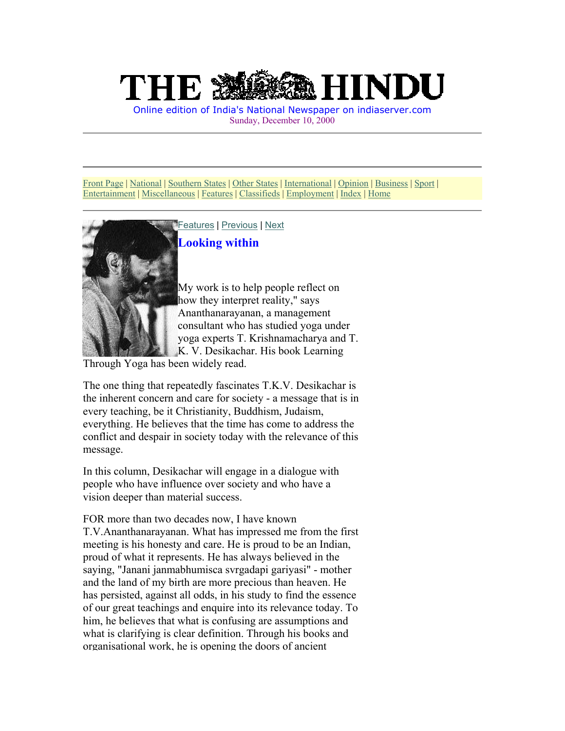Online edition of India's National Newspaper on indiaserver.com Sunday, December 10, 2000

[Front Page](http://www.indiaserver.com/thehindu/2000/12/10/index.htm) | [National](http://www.indiaserver.com/thehindu/2000/12/10/02hdline.htm) | [Southern States](http://www.indiaserver.com/thehindu/2000/12/10/04hdline.htm) | [Other States](http://www.indiaserver.com/thehindu/2000/12/10/14hdline.htm) | [International](http://www.indiaserver.com/thehindu/2000/12/10/03hdline.htm) | [Opinion](http://www.indiaserver.com/thehindu/2000/12/10/05hdline.htm) | [Business](http://www.indiaserver.com/thehindu/2000/12/10/06hdline.htm) | [Sport](http://www.indiaserver.com/thehindu/2000/12/10/07hdline.htm) | [Entertainment](http://www.indiaserver.com/thehindu/2000/12/10/09hdline.htm) | [Miscellaneous](http://www.indiaserver.com/thehindu/2000/12/10/10hdline.htm) | [Features](http://www.indiaserver.com/thehindu/2000/12/10/13hdline.htm) | [Classifieds](http://www.indiaserver.com/thehindu/2000/12/10/11hdline.htm) | [Employment](http://www.hindurecruitment.com/) | [Index](http://www.indiaserver.com/thehindu/2000/12/10/99hdline.htm) | [Home](http://www.hinduonline.com/)



[Features](http://www.indiaserver.com/thehindu/2000/12/10/13hdline.htm) | [Previous](http://www.indiaserver.com/thehindu/2000/12/10/stories/1310078p.htm) | [Next](http://www.indiaserver.com/thehindu/2000/12/10/stories/13101081.htm)

**Looking within** 

My work is to help people reflect on how they interpret reality," says Ananthanarayanan, a management consultant who has studied yoga under yoga experts T. Krishnamacharya and T. K. V. Desikachar. His book Learning

Through Yoga has been widely read.

The one thing that repeatedly fascinates T.K.V. Desikachar is the inherent concern and care for society - a message that is in every teaching, be it Christianity, Buddhism, Judaism, everything. He believes that the time has come to address the conflict and despair in society today with the relevance of this message.

In this column, Desikachar will engage in a dialogue with people who have influence over society and who have a vision deeper than material success.

FOR more than two decades now, I have known T.V.Ananthanarayanan. What has impressed me from the first meeting is his honesty and care. He is proud to be an Indian, proud of what it represents. He has always believed in the saying, "Janani janmabhumisca svrgadapi gariyasi" - mother and the land of my birth are more precious than heaven. He has persisted, against all odds, in his study to find the essence of our great teachings and enquire into its relevance today. To him, he believes that what is confusing are assumptions and what is clarifying is clear definition. Through his books and organisational work, he is opening the doors of ancient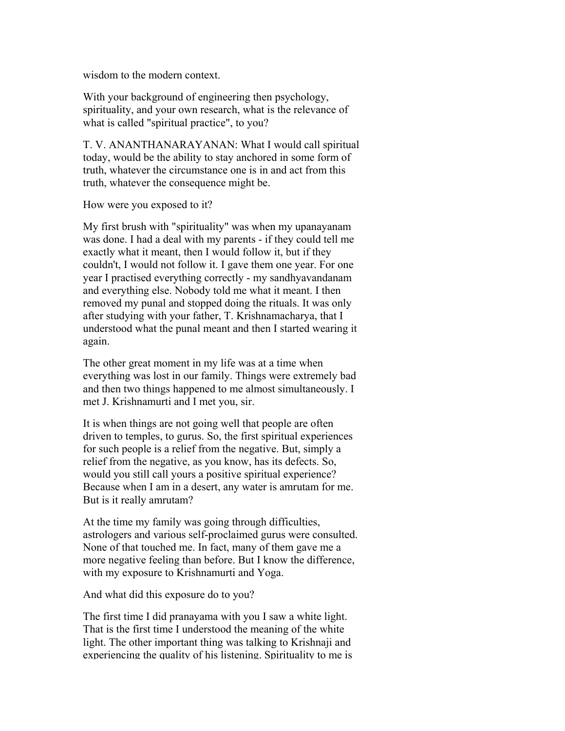wisdom to the modern context.

With your background of engineering then psychology, spirituality, and your own research, what is the relevance of what is called "spiritual practice", to you?

T. V. ANANTHANARAYANAN: What I would call spiritual today, would be the ability to stay anchored in some form of truth, whatever the circumstance one is in and act from this truth, whatever the consequence might be.

How were you exposed to it?

My first brush with "spirituality" was when my upanayanam was done. I had a deal with my parents - if they could tell me exactly what it meant, then I would follow it, but if they couldn't, I would not follow it. I gave them one year. For one year I practised everything correctly - my sandhyavandanam and everything else. Nobody told me what it meant. I then removed my punal and stopped doing the rituals. It was only after studying with your father, T. Krishnamacharya, that I understood what the punal meant and then I started wearing it again.

The other great moment in my life was at a time when everything was lost in our family. Things were extremely bad and then two things happened to me almost simultaneously. I met J. Krishnamurti and I met you, sir.

It is when things are not going well that people are often driven to temples, to gurus. So, the first spiritual experiences for such people is a relief from the negative. But, simply a relief from the negative, as you know, has its defects. So, would you still call yours a positive spiritual experience? Because when I am in a desert, any water is amrutam for me. But is it really amrutam?

At the time my family was going through difficulties, astrologers and various self-proclaimed gurus were consulted. None of that touched me. In fact, many of them gave me a more negative feeling than before. But I know the difference, with my exposure to Krishnamurti and Yoga.

And what did this exposure do to you?

The first time I did pranayama with you I saw a white light. That is the first time I understood the meaning of the white light. The other important thing was talking to Krishnaji and experiencing the quality of his listening. Spirituality to me is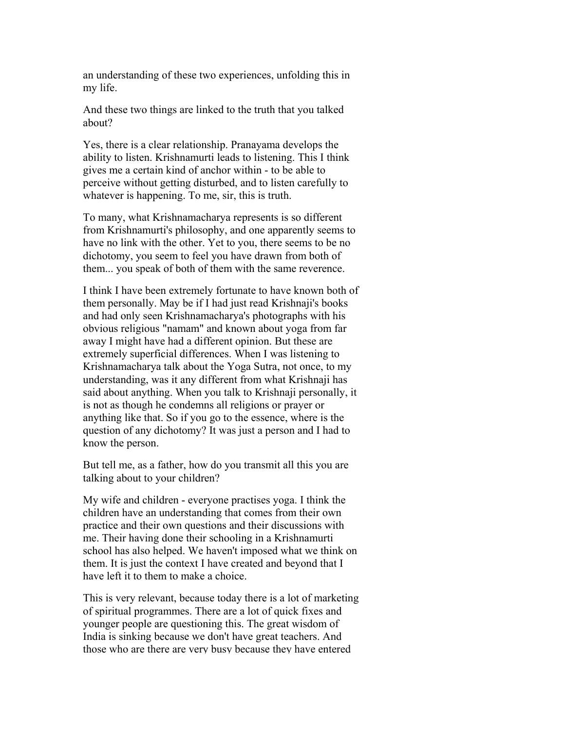an understanding of these two experiences, unfolding this in my life.

And these two things are linked to the truth that you talked about?

Yes, there is a clear relationship. Pranayama develops the ability to listen. Krishnamurti leads to listening. This I think gives me a certain kind of anchor within - to be able to perceive without getting disturbed, and to listen carefully to whatever is happening. To me, sir, this is truth.

To many, what Krishnamacharya represents is so different from Krishnamurti's philosophy, and one apparently seems to have no link with the other. Yet to you, there seems to be no dichotomy, you seem to feel you have drawn from both of them... you speak of both of them with the same reverence.

I think I have been extremely fortunate to have known both of them personally. May be if I had just read Krishnaji's books and had only seen Krishnamacharya's photographs with his obvious religious "namam" and known about yoga from far away I might have had a different opinion. But these are extremely superficial differences. When I was listening to Krishnamacharya talk about the Yoga Sutra, not once, to my understanding, was it any different from what Krishnaji has said about anything. When you talk to Krishnaji personally, it is not as though he condemns all religions or prayer or anything like that. So if you go to the essence, where is the question of any dichotomy? It was just a person and I had to know the person.

But tell me, as a father, how do you transmit all this you are talking about to your children?

My wife and children - everyone practises yoga. I think the children have an understanding that comes from their own practice and their own questions and their discussions with me. Their having done their schooling in a Krishnamurti school has also helped. We haven't imposed what we think on them. It is just the context I have created and beyond that I have left it to them to make a choice.

This is very relevant, because today there is a lot of marketing of spiritual programmes. There are a lot of quick fixes and younger people are questioning this. The great wisdom of India is sinking because we don't have great teachers. And those who are there are very busy because they have entered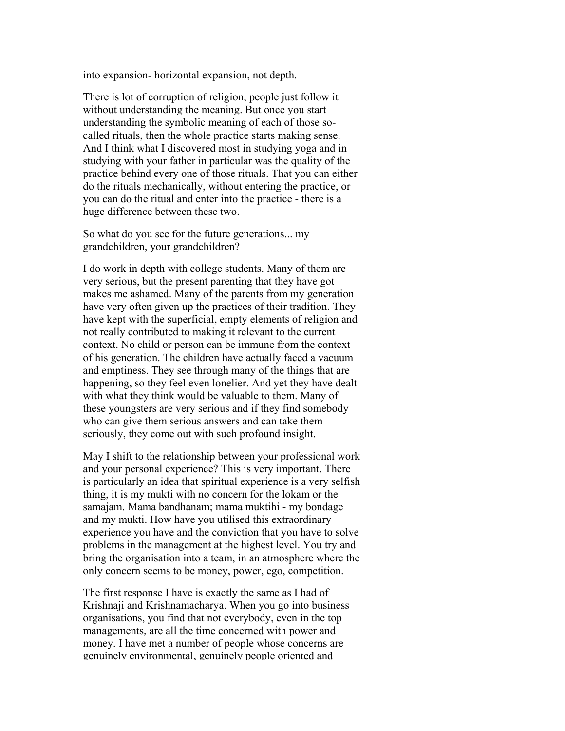into expansion- horizontal expansion, not depth.

There is lot of corruption of religion, people just follow it without understanding the meaning. But once you start understanding the symbolic meaning of each of those socalled rituals, then the whole practice starts making sense. And I think what I discovered most in studying yoga and in studying with your father in particular was the quality of the practice behind every one of those rituals. That you can either do the rituals mechanically, without entering the practice, or you can do the ritual and enter into the practice - there is a huge difference between these two.

So what do you see for the future generations... my grandchildren, your grandchildren?

I do work in depth with college students. Many of them are very serious, but the present parenting that they have got makes me ashamed. Many of the parents from my generation have very often given up the practices of their tradition. They have kept with the superficial, empty elements of religion and not really contributed to making it relevant to the current context. No child or person can be immune from the context of his generation. The children have actually faced a vacuum and emptiness. They see through many of the things that are happening, so they feel even lonelier. And yet they have dealt with what they think would be valuable to them. Many of these youngsters are very serious and if they find somebody who can give them serious answers and can take them seriously, they come out with such profound insight.

May I shift to the relationship between your professional work and your personal experience? This is very important. There is particularly an idea that spiritual experience is a very selfish thing, it is my mukti with no concern for the lokam or the samajam. Mama bandhanam; mama muktihi - my bondage and my mukti. How have you utilised this extraordinary experience you have and the conviction that you have to solve problems in the management at the highest level. You try and bring the organisation into a team, in an atmosphere where the only concern seems to be money, power, ego, competition.

The first response I have is exactly the same as I had of Krishnaji and Krishnamacharya. When you go into business organisations, you find that not everybody, even in the top managements, are all the time concerned with power and money. I have met a number of people whose concerns are genuinely environmental, genuinely people oriented and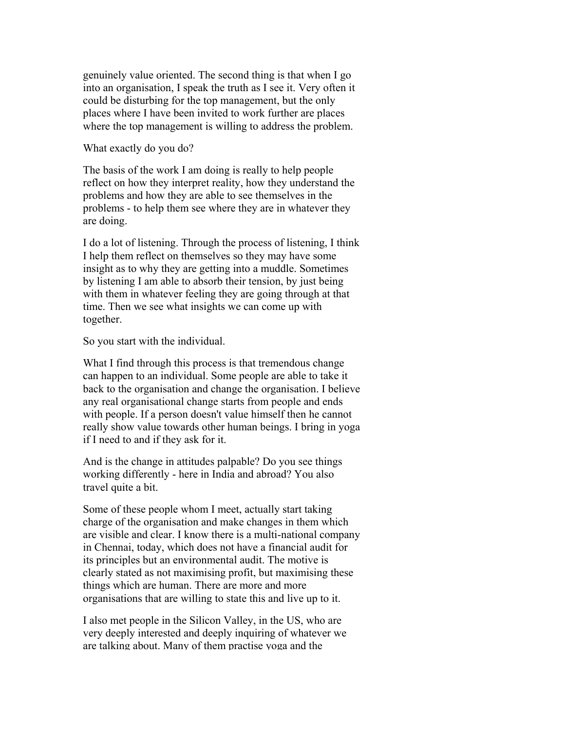genuinely value oriented. The second thing is that when I go into an organisation, I speak the truth as I see it. Very often it could be disturbing for the top management, but the only places where I have been invited to work further are places where the top management is willing to address the problem.

What exactly do you do?

The basis of the work I am doing is really to help people reflect on how they interpret reality, how they understand the problems and how they are able to see themselves in the problems - to help them see where they are in whatever they are doing.

I do a lot of listening. Through the process of listening, I think I help them reflect on themselves so they may have some insight as to why they are getting into a muddle. Sometimes by listening I am able to absorb their tension, by just being with them in whatever feeling they are going through at that time. Then we see what insights we can come up with together.

So you start with the individual.

What I find through this process is that tremendous change can happen to an individual. Some people are able to take it back to the organisation and change the organisation. I believe any real organisational change starts from people and ends with people. If a person doesn't value himself then he cannot really show value towards other human beings. I bring in yoga if I need to and if they ask for it.

And is the change in attitudes palpable? Do you see things working differently - here in India and abroad? You also travel quite a bit.

Some of these people whom I meet, actually start taking charge of the organisation and make changes in them which are visible and clear. I know there is a multi-national company in Chennai, today, which does not have a financial audit for its principles but an environmental audit. The motive is clearly stated as not maximising profit, but maximising these things which are human. There are more and more organisations that are willing to state this and live up to it.

I also met people in the Silicon Valley, in the US, who are very deeply interested and deeply inquiring of whatever we are talking about. Many of them practise yoga and the